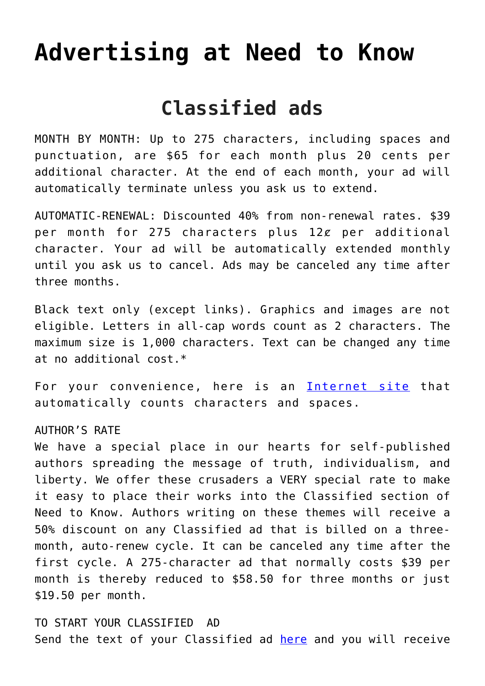# **[Advertising at Need to Know](https://needtoknow.news/advertising-at-need-to-know/)**

## **Classified ads**

MONTH BY MONTH: Up to 275 characters, including spaces and punctuation, are \$65 for each month plus 20 cents per additional character. At the end of each month, your ad will automatically terminate unless you ask us to extend.

AUTOMATIC-RENEWAL: Discounted 40% from non-renewal rates. \$39 per month for 275 characters plus  $12\ell$  per additional character. Your ad will be automatically extended monthly until you ask us to cancel. Ads may be canceled any time after three months.

Black text only (except links). Graphics and images are not eligible. Letters in all-cap words count as 2 characters. The maximum size is 1,000 characters. Text can be changed any time at no additional cost.\*

For your convenience, here is an [Internet site](http://www.lettercount.com/) that automatically counts characters and spaces.

#### AUTHOR'S RATE

We have a special place in our hearts for self-published authors spreading the message of truth, individualism, and liberty. We offer these crusaders a VERY special rate to make it easy to place their works into the Classified section of Need to Know. Authors writing on these themes will receive a 50% discount on any Classified ad that is billed on a threemonth, auto-renew cycle. It can be canceled any time after the first cycle. A 275-character ad that normally costs \$39 per month is thereby reduced to \$58.50 for three months or just \$19.50 per month.

TO START YOUR CLASSIFIED AD Send the text of your Classified ad [here](mailto:info@realityzone.com) and you will receive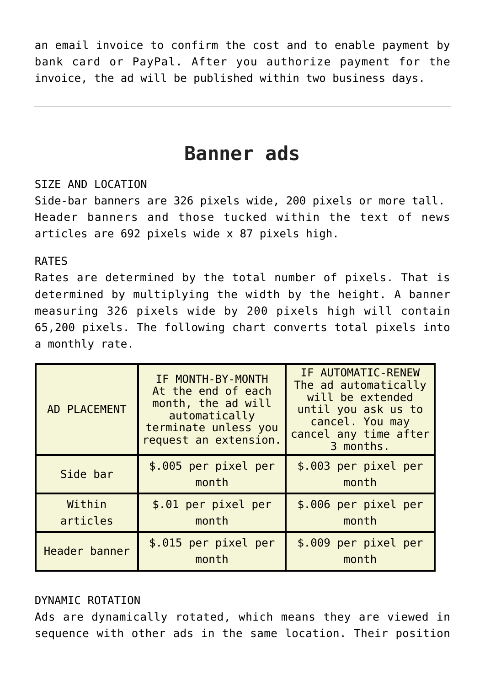an email invoice to confirm the cost and to enable payment by bank card or PayPal. After you authorize payment for the invoice, the ad will be published within two business days.

### **Banner ads**

#### SIZE AND LOCATION

Side-bar banners are 326 pixels wide, 200 pixels or more tall. Header banners and those tucked within the text of news articles are 692 pixels wide x 87 pixels high.

#### RATES

Rates are determined by the total number of pixels. That is determined by multiplying the width by the height. A banner measuring 326 pixels wide by 200 pixels high will contain 65,200 pixels. The following chart converts total pixels into a monthly rate.

| AD PLACEMENT       | IF MONTH-BY-MONTH<br>At the end of each<br>month, the ad will<br>automatically<br>terminate unless you<br>request an extension. | IF AUTOMATIC-RENEW<br>The ad automatically<br>will be extended<br>until you ask us to<br>cancel. You may<br>cancel any time after<br>3 months. |
|--------------------|---------------------------------------------------------------------------------------------------------------------------------|------------------------------------------------------------------------------------------------------------------------------------------------|
| Side bar           | \$.005 per pixel per<br>month                                                                                                   | \$.003 per pixel per<br>month                                                                                                                  |
| Within<br>articles | \$.01 per pixel per<br>month                                                                                                    | \$.006 per pixel per<br>month                                                                                                                  |
| Header banner      | \$.015 per pixel per<br>month                                                                                                   | \$.009 per pixel per<br>month                                                                                                                  |

#### DYNAMIC ROTATION

Ads are dynamically rotated, which means they are viewed in sequence with other ads in the same location. Their position